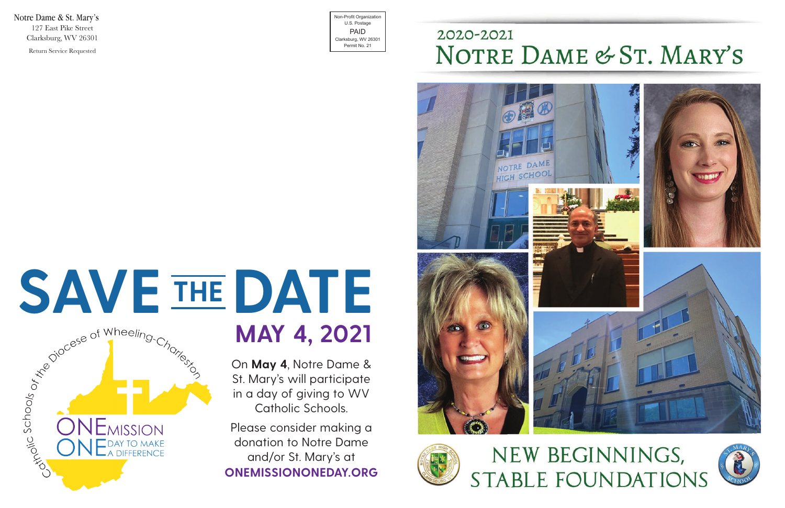Notre Dame & St. Mary's 127 East Pike Street Clarksburg, WV 26301 Return Service Requested

Non-Profit Organization U.S. Postage PAID Clarksburg, WV 26301 Permit No. 21

### 2020-2021 NOTRE DAME & ST. MARY'S





**MAY 4, 2021**

# SAVE THE DATE **THE**

On **May 4**, Notre Dame & St. Mary's will participate in a day of giving to WV Catholic Schools.

Please consider making a donation to Notre Dame and/or St. Mary's at **ONEMISSIONONEDAY.ORG**

## NEW BEGINNINGS, **STABLE FOUNDATIONS**